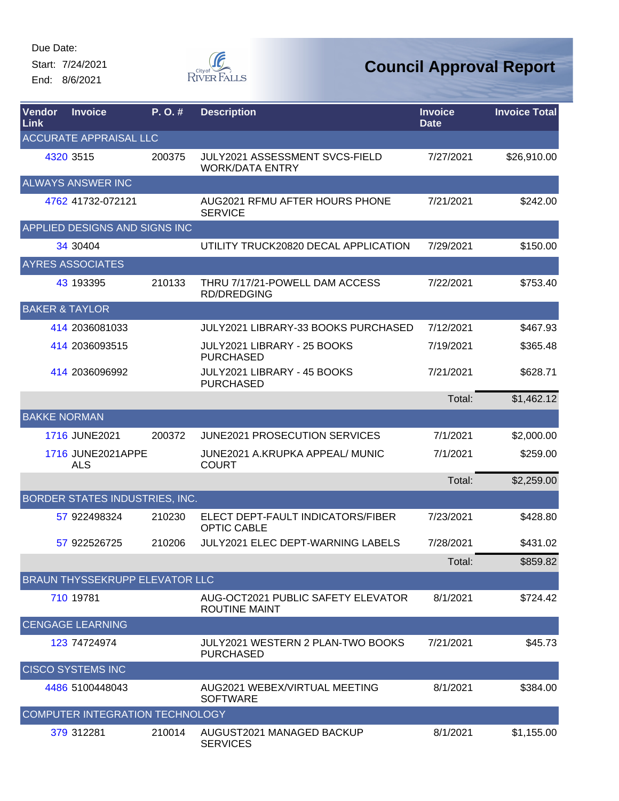Start: 7/24/2021 End: 8/6/2021



| Vendor<br>Link            | <b>Invoice</b>                        | P. O. # | <b>Description</b>                                         | <b>Invoice</b><br><b>Date</b> | <b>Invoice Total</b> |
|---------------------------|---------------------------------------|---------|------------------------------------------------------------|-------------------------------|----------------------|
|                           | <b>ACCURATE APPRAISAL LLC</b>         |         |                                                            |                               |                      |
|                           | 4320 3515                             | 200375  | JULY2021 ASSESSMENT SVCS-FIELD<br><b>WORK/DATA ENTRY</b>   | 7/27/2021                     | \$26,910.00          |
|                           | <b>ALWAYS ANSWER INC</b>              |         |                                                            |                               |                      |
|                           | 4762 41732-072121                     |         | AUG2021 RFMU AFTER HOURS PHONE<br><b>SERVICE</b>           | 7/21/2021                     | \$242.00             |
|                           | APPLIED DESIGNS AND SIGNS INC         |         |                                                            |                               |                      |
|                           | 34 30404                              |         | UTILITY TRUCK20820 DECAL APPLICATION                       | 7/29/2021                     | \$150.00             |
|                           | <b>AYRES ASSOCIATES</b>               |         |                                                            |                               |                      |
|                           | 43 193395                             | 210133  | THRU 7/17/21-POWELL DAM ACCESS<br><b>RD/DREDGING</b>       | 7/22/2021                     | \$753.40             |
| <b>BAKER &amp; TAYLOR</b> |                                       |         |                                                            |                               |                      |
|                           | 414 2036081033                        |         | JULY2021 LIBRARY-33 BOOKS PURCHASED                        | 7/12/2021                     | \$467.93             |
|                           | 414 2036093515                        |         | JULY2021 LIBRARY - 25 BOOKS<br><b>PURCHASED</b>            | 7/19/2021                     | \$365.48             |
|                           | 414 2036096992                        |         | JULY2021 LIBRARY - 45 BOOKS<br><b>PURCHASED</b>            | 7/21/2021                     | \$628.71             |
|                           |                                       |         |                                                            | Total:                        | \$1,462.12           |
| <b>BAKKE NORMAN</b>       |                                       |         |                                                            |                               |                      |
|                           | 1716 JUNE2021                         | 200372  | <b>JUNE2021 PROSECUTION SERVICES</b>                       | 7/1/2021                      | \$2,000.00           |
|                           | 1716 JUNE2021APPE<br><b>ALS</b>       |         | JUNE2021 A.KRUPKA APPEAL/ MUNIC<br><b>COURT</b>            | 7/1/2021                      | \$259.00             |
|                           |                                       |         |                                                            | Total:                        | \$2,259.00           |
|                           | BORDER STATES INDUSTRIES, INC.        |         |                                                            |                               |                      |
|                           | 57 922498324                          | 210230  | ELECT DEPT-FAULT INDICATORS/FIBER<br><b>OPTIC CABLE</b>    | 7/23/2021                     | \$428.80             |
|                           | 57 922526725                          | 210206  | <b>JULY2021 ELEC DEPT-WARNING LABELS</b>                   | 7/28/2021                     | \$431.02             |
|                           |                                       |         |                                                            | Total:                        | \$859.82             |
|                           | <b>BRAUN THYSSEKRUPP ELEVATOR LLC</b> |         |                                                            |                               |                      |
|                           | 710 19781                             |         | AUG-OCT2021 PUBLIC SAFETY ELEVATOR<br><b>ROUTINE MAINT</b> | 8/1/2021                      | \$724.42             |
|                           | <b>CENGAGE LEARNING</b>               |         |                                                            |                               |                      |
|                           | 123 74724974                          |         | JULY2021 WESTERN 2 PLAN-TWO BOOKS<br><b>PURCHASED</b>      | 7/21/2021                     | \$45.73              |
|                           | <b>CISCO SYSTEMS INC</b>              |         |                                                            |                               |                      |
|                           | 4486 5100448043                       |         | AUG2021 WEBEX/VIRTUAL MEETING<br><b>SOFTWARE</b>           | 8/1/2021                      | \$384.00             |
|                           | COMPUTER INTEGRATION TECHNOLOGY       |         |                                                            |                               |                      |
|                           | 379 312281                            | 210014  | AUGUST2021 MANAGED BACKUP<br><b>SERVICES</b>               | 8/1/2021                      | \$1,155.00           |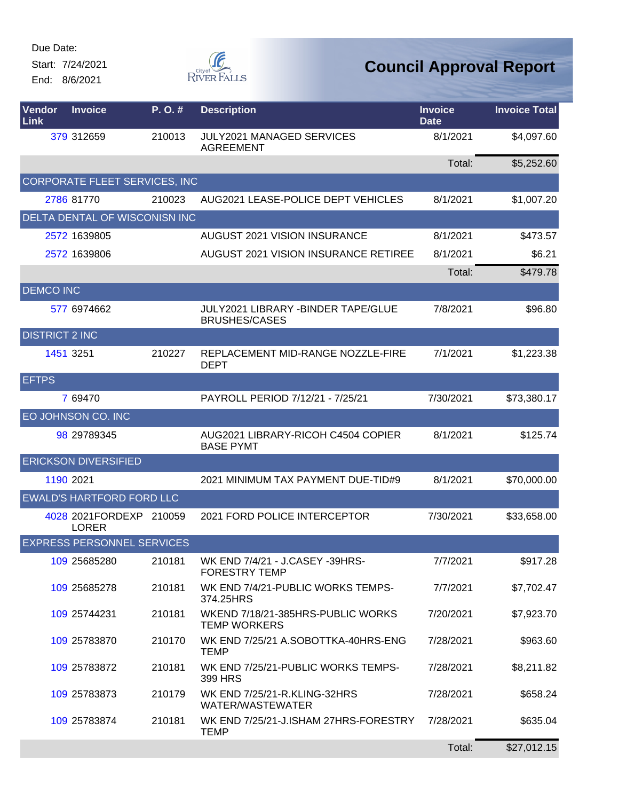Start: 7/24/2021 End: 8/6/2021



| Vendor<br>Link        | <b>Invoice</b>                           | P.O.#  | <b>Description</b>                                                | <b>Invoice</b><br><b>Date</b> | <b>Invoice Total</b> |
|-----------------------|------------------------------------------|--------|-------------------------------------------------------------------|-------------------------------|----------------------|
|                       | 379 312659                               | 210013 | <b>JULY2021 MANAGED SERVICES</b><br><b>AGREEMENT</b>              | 8/1/2021                      | \$4,097.60           |
|                       |                                          |        |                                                                   | Total:                        | \$5,252.60           |
|                       | CORPORATE FLEET SERVICES, INC            |        |                                                                   |                               |                      |
|                       | 2786 81770                               | 210023 | AUG2021 LEASE-POLICE DEPT VEHICLES                                | 8/1/2021                      | \$1,007.20           |
|                       | DELTA DENTAL OF WISCONISN INC            |        |                                                                   |                               |                      |
|                       | 2572 1639805                             |        | AUGUST 2021 VISION INSURANCE                                      | 8/1/2021                      | \$473.57             |
|                       | 2572 1639806                             |        | AUGUST 2021 VISION INSURANCE RETIREE                              | 8/1/2021                      | \$6.21               |
|                       |                                          |        |                                                                   | Total:                        | \$479.78             |
| <b>DEMCO INC</b>      |                                          |        |                                                                   |                               |                      |
|                       | 577 6974662                              |        | <b>JULY2021 LIBRARY -BINDER TAPE/GLUE</b><br><b>BRUSHES/CASES</b> | 7/8/2021                      | \$96.80              |
| <b>DISTRICT 2 INC</b> |                                          |        |                                                                   |                               |                      |
|                       | 1451 3251                                | 210227 | REPLACEMENT MID-RANGE NOZZLE-FIRE<br><b>DEPT</b>                  | 7/1/2021                      | \$1,223.38           |
| <b>EFTPS</b>          |                                          |        |                                                                   |                               |                      |
|                       | 7 69470                                  |        | PAYROLL PERIOD 7/12/21 - 7/25/21                                  | 7/30/2021                     | \$73,380.17          |
|                       | EO JOHNSON CO. INC                       |        |                                                                   |                               |                      |
|                       | 98 29789345                              |        | AUG2021 LIBRARY-RICOH C4504 COPIER<br><b>BASE PYMT</b>            | 8/1/2021                      | \$125.74             |
|                       | <b>ERICKSON DIVERSIFIED</b>              |        |                                                                   |                               |                      |
|                       | 1190 2021                                |        | 2021 MINIMUM TAX PAYMENT DUE-TID#9                                | 8/1/2021                      | \$70,000.00          |
|                       | <b>EWALD'S HARTFORD FORD LLC</b>         |        |                                                                   |                               |                      |
|                       | 4028 2021 FORDEXP 210059<br><b>LORER</b> |        | 2021 FORD POLICE INTERCEPTOR                                      | 7/30/2021                     | \$33,658.00          |
|                       | <b>EXPRESS PERSONNEL SERVICES</b>        |        |                                                                   |                               |                      |
|                       | 109 25685280                             | 210181 | WK END 7/4/21 - J.CASEY -39HRS-<br><b>FORESTRY TEMP</b>           | 7/7/2021                      | \$917.28             |
|                       | 109 25685278                             | 210181 | WK END 7/4/21-PUBLIC WORKS TEMPS-<br>374.25HRS                    | 7/7/2021                      | \$7,702.47           |
|                       | 109 25744231                             | 210181 | WKEND 7/18/21-385HRS-PUBLIC WORKS<br><b>TEMP WORKERS</b>          | 7/20/2021                     | \$7,923.70           |
|                       | 109 25783870                             | 210170 | WK END 7/25/21 A.SOBOTTKA-40HRS-ENG<br><b>TEMP</b>                | 7/28/2021                     | \$963.60             |
|                       | 109 25783872                             | 210181 | WK END 7/25/21-PUBLIC WORKS TEMPS-<br>399 HRS                     | 7/28/2021                     | \$8,211.82           |
|                       | 109 25783873                             | 210179 | WK END 7/25/21-R.KLING-32HRS<br>WATER/WASTEWATER                  | 7/28/2021                     | \$658.24             |
|                       | 109 25783874                             | 210181 | WK END 7/25/21-J.ISHAM 27HRS-FORESTRY<br><b>TEMP</b>              | 7/28/2021                     | \$635.04             |
|                       |                                          |        |                                                                   | Total:                        | \$27,012.15          |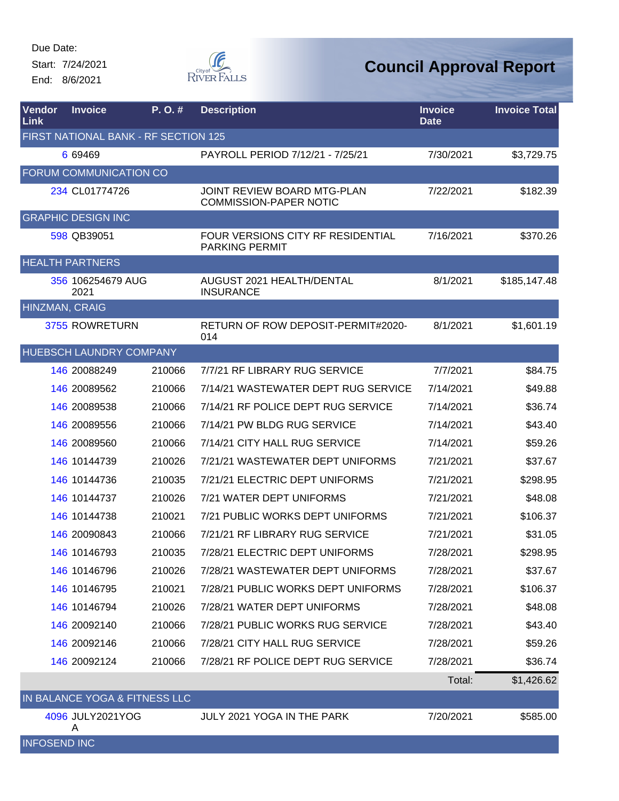Start: 7/24/2021 End: 8/6/2021



| Vendor<br>Link      | <b>Invoice</b>                       | P.O.#  | <b>Description</b>                                           | <b>Invoice</b><br><b>Date</b> | <b>Invoice Total</b> |
|---------------------|--------------------------------------|--------|--------------------------------------------------------------|-------------------------------|----------------------|
|                     | FIRST NATIONAL BANK - RF SECTION 125 |        |                                                              |                               |                      |
|                     | 6 69469                              |        | PAYROLL PERIOD 7/12/21 - 7/25/21                             | 7/30/2021                     | \$3,729.75           |
|                     | FORUM COMMUNICATION CO               |        |                                                              |                               |                      |
|                     | 234 CL01774726                       |        | JOINT REVIEW BOARD MTG-PLAN<br><b>COMMISSION-PAPER NOTIC</b> | 7/22/2021                     | \$182.39             |
|                     | <b>GRAPHIC DESIGN INC</b>            |        |                                                              |                               |                      |
|                     | 598 QB39051                          |        | FOUR VERSIONS CITY RF RESIDENTIAL<br><b>PARKING PERMIT</b>   | 7/16/2021                     | \$370.26             |
|                     | <b>HEALTH PARTNERS</b>               |        |                                                              |                               |                      |
|                     | 356 106254679 AUG<br>2021            |        | AUGUST 2021 HEALTH/DENTAL<br><b>INSURANCE</b>                | 8/1/2021                      | \$185,147.48         |
| HINZMAN, CRAIG      |                                      |        |                                                              |                               |                      |
|                     | 3755 ROWRETURN                       |        | RETURN OF ROW DEPOSIT-PERMIT#2020-<br>014                    | 8/1/2021                      | \$1,601.19           |
|                     | <b>HUEBSCH LAUNDRY COMPANY</b>       |        |                                                              |                               |                      |
|                     | 146 20088249                         | 210066 | 7/7/21 RF LIBRARY RUG SERVICE                                | 7/7/2021                      | \$84.75              |
|                     | 146 20089562                         | 210066 | 7/14/21 WASTEWATER DEPT RUG SERVICE                          | 7/14/2021                     | \$49.88              |
|                     | 146 20089538                         | 210066 | 7/14/21 RF POLICE DEPT RUG SERVICE                           | 7/14/2021                     | \$36.74              |
|                     | 146 20089556                         | 210066 | 7/14/21 PW BLDG RUG SERVICE                                  | 7/14/2021                     | \$43.40              |
|                     | 146 20089560                         | 210066 | 7/14/21 CITY HALL RUG SERVICE                                | 7/14/2021                     | \$59.26              |
|                     | 146 10144739                         | 210026 | 7/21/21 WASTEWATER DEPT UNIFORMS                             | 7/21/2021                     | \$37.67              |
|                     | 146 10144736                         | 210035 | 7/21/21 ELECTRIC DEPT UNIFORMS                               | 7/21/2021                     | \$298.95             |
|                     | 146 10144737                         | 210026 | 7/21 WATER DEPT UNIFORMS                                     | 7/21/2021                     | \$48.08              |
|                     | 146 10144738                         | 210021 | 7/21 PUBLIC WORKS DEPT UNIFORMS                              | 7/21/2021                     | \$106.37             |
|                     | 146 20090843                         | 210066 | 7/21/21 RF LIBRARY RUG SERVICE                               | 7/21/2021                     | \$31.05              |
|                     | 146 10146793                         | 210035 | 7/28/21 ELECTRIC DEPT UNIFORMS                               | 7/28/2021                     | \$298.95             |
|                     | 146 10146796                         | 210026 | 7/28/21 WASTEWATER DEPT UNIFORMS                             | 7/28/2021                     | \$37.67              |
|                     | 146 10146795                         | 210021 | 7/28/21 PUBLIC WORKS DEPT UNIFORMS                           | 7/28/2021                     | \$106.37             |
|                     | 146 10146794                         | 210026 | 7/28/21 WATER DEPT UNIFORMS                                  | 7/28/2021                     | \$48.08              |
|                     | 146 20092140                         | 210066 | 7/28/21 PUBLIC WORKS RUG SERVICE                             | 7/28/2021                     | \$43.40              |
|                     | 146 20092146                         | 210066 | 7/28/21 CITY HALL RUG SERVICE                                | 7/28/2021                     | \$59.26              |
|                     | 146 20092124                         | 210066 | 7/28/21 RF POLICE DEPT RUG SERVICE                           | 7/28/2021                     | \$36.74              |
|                     |                                      |        |                                                              | Total:                        | \$1,426.62           |
|                     | IN BALANCE YOGA & FITNESS LLC        |        |                                                              |                               |                      |
|                     | 4096 JULY2021YOG<br>A                |        | JULY 2021 YOGA IN THE PARK                                   | 7/20/2021                     | \$585.00             |
| <b>INFOSEND INC</b> |                                      |        |                                                              |                               |                      |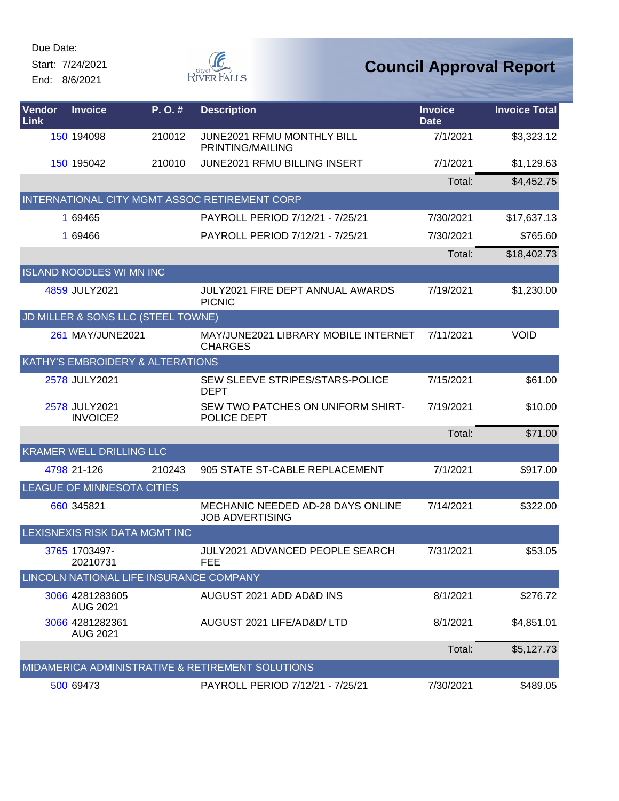Start: 7/24/2021 End: 8/6/2021



| Vendor<br>Link | <b>Invoice</b>                          | P.O.#  | <b>Description</b>                                          | <b>Invoice</b><br><b>Date</b> | <b>Invoice Total</b> |
|----------------|-----------------------------------------|--------|-------------------------------------------------------------|-------------------------------|----------------------|
|                | 150 194098                              | 210012 | JUNE2021 RFMU MONTHLY BILL<br>PRINTING/MAILING              | 7/1/2021                      | \$3,323.12           |
|                | 150 195042                              | 210010 | <b>JUNE2021 RFMU BILLING INSERT</b>                         | 7/1/2021                      | \$1,129.63           |
|                |                                         |        |                                                             | Total:                        | \$4,452.75           |
|                |                                         |        | INTERNATIONAL CITY MGMT ASSOC RETIREMENT CORP               |                               |                      |
|                | 1 69465                                 |        | PAYROLL PERIOD 7/12/21 - 7/25/21                            | 7/30/2021                     | \$17,637.13          |
|                | 1 69466                                 |        | PAYROLL PERIOD 7/12/21 - 7/25/21                            | 7/30/2021                     | \$765.60             |
|                |                                         |        |                                                             | Total:                        | \$18,402.73          |
|                | <b>ISLAND NOODLES WI MN INC</b>         |        |                                                             |                               |                      |
|                | 4859 JULY2021                           |        | JULY2021 FIRE DEPT ANNUAL AWARDS<br><b>PICNIC</b>           | 7/19/2021                     | \$1,230.00           |
|                | JD MILLER & SONS LLC (STEEL TOWNE)      |        |                                                             |                               |                      |
|                | 261 MAY/JUNE2021                        |        | MAY/JUNE2021 LIBRARY MOBILE INTERNET<br><b>CHARGES</b>      | 7/11/2021                     | <b>VOID</b>          |
|                | KATHY'S EMBROIDERY & ALTERATIONS        |        |                                                             |                               |                      |
|                | 2578 JULY2021                           |        | SEW SLEEVE STRIPES/STARS-POLICE<br><b>DEPT</b>              | 7/15/2021                     | \$61.00              |
|                | 2578 JULY2021<br><b>INVOICE2</b>        |        | SEW TWO PATCHES ON UNIFORM SHIRT-<br>POLICE DEPT            | 7/19/2021                     | \$10.00              |
|                |                                         |        |                                                             | Total:                        | \$71.00              |
|                | <b>KRAMER WELL DRILLING LLC</b>         |        |                                                             |                               |                      |
|                | 4798 21-126                             | 210243 | 905 STATE ST-CABLE REPLACEMENT                              | 7/1/2021                      | \$917.00             |
|                | LEAGUE OF MINNESOTA CITIES              |        |                                                             |                               |                      |
|                | 660 345821                              |        | MECHANIC NEEDED AD-28 DAYS ONLINE<br><b>JOB ADVERTISING</b> | 7/14/2021                     | \$322.00             |
|                | LEXISNEXIS RISK DATA MGMT INC           |        |                                                             |                               |                      |
|                | 3765 1703497-<br>20210731               |        | JULY2021 ADVANCED PEOPLE SEARCH<br>FEE                      | 7/31/2021                     | \$53.05              |
|                | LINCOLN NATIONAL LIFE INSURANCE COMPANY |        |                                                             |                               |                      |
|                | 3066 4281283605<br><b>AUG 2021</b>      |        | AUGUST 2021 ADD AD&D INS                                    | 8/1/2021                      | \$276.72             |
|                | 3066 4281282361<br><b>AUG 2021</b>      |        | AUGUST 2021 LIFE/AD&D/ LTD                                  | 8/1/2021                      | \$4,851.01           |
|                |                                         |        |                                                             | Total:                        | \$5,127.73           |
|                |                                         |        | MIDAMERICA ADMINISTRATIVE & RETIREMENT SOLUTIONS            |                               |                      |
|                | 500 69473                               |        | PAYROLL PERIOD 7/12/21 - 7/25/21                            | 7/30/2021                     | \$489.05             |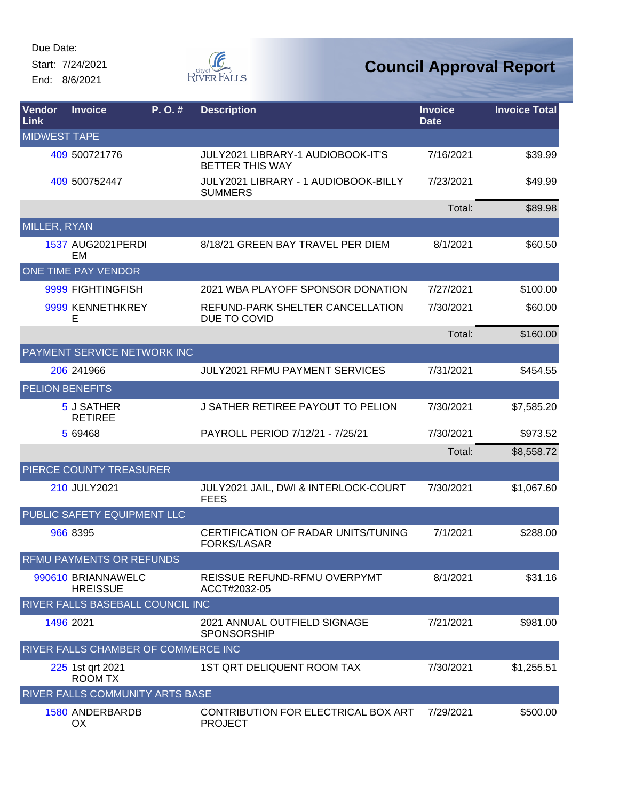Start: 7/24/2021 End: 8/6/2021



| <b>Vendor</b><br><b>Link</b> | <b>Invoice</b>                          | P. O. # | <b>Description</b>                                          | <b>Invoice</b><br><b>Date</b> | <b>Invoice Total</b> |
|------------------------------|-----------------------------------------|---------|-------------------------------------------------------------|-------------------------------|----------------------|
| <b>MIDWEST TAPE</b>          |                                         |         |                                                             |                               |                      |
|                              | 409 500721776                           |         | JULY2021 LIBRARY-1 AUDIOBOOK-IT'S<br><b>BETTER THIS WAY</b> | 7/16/2021                     | \$39.99              |
|                              | 409 500752447                           |         | JULY2021 LIBRARY - 1 AUDIOBOOK-BILLY<br><b>SUMMERS</b>      | 7/23/2021                     | \$49.99              |
|                              |                                         |         |                                                             | Total:                        | \$89.98              |
| MILLER, RYAN                 |                                         |         |                                                             |                               |                      |
|                              | <b>1537 AUG2021PERDI</b><br>EM          |         | 8/18/21 GREEN BAY TRAVEL PER DIEM                           | 8/1/2021                      | \$60.50              |
|                              | ONE TIME PAY VENDOR                     |         |                                                             |                               |                      |
|                              | 9999 FIGHTINGFISH                       |         | 2021 WBA PLAYOFF SPONSOR DONATION                           | 7/27/2021                     | \$100.00             |
|                              | 9999 KENNETHKREY<br>Е                   |         | REFUND-PARK SHELTER CANCELLATION<br>DUE TO COVID            | 7/30/2021                     | \$60.00              |
|                              |                                         |         |                                                             | Total:                        | \$160.00             |
|                              | PAYMENT SERVICE NETWORK INC             |         |                                                             |                               |                      |
|                              | 206 241966                              |         | <b>JULY2021 RFMU PAYMENT SERVICES</b>                       | 7/31/2021                     | \$454.55             |
|                              | <b>PELION BENEFITS</b>                  |         |                                                             |                               |                      |
|                              | 5 J SATHER<br><b>RETIREE</b>            |         | J SATHER RETIREE PAYOUT TO PELION                           | 7/30/2021                     | \$7,585.20           |
|                              | 5 69468                                 |         | PAYROLL PERIOD 7/12/21 - 7/25/21                            | 7/30/2021                     | \$973.52             |
|                              |                                         |         |                                                             | Total:                        | \$8,558.72           |
|                              | PIERCE COUNTY TREASURER                 |         |                                                             |                               |                      |
|                              | 210 JULY2021                            |         | JULY2021 JAIL, DWI & INTERLOCK-COURT<br><b>FEES</b>         | 7/30/2021                     | \$1,067.60           |
|                              | PUBLIC SAFETY EQUIPMENT LLC             |         |                                                             |                               |                      |
|                              | 966 8395                                |         | CERTIFICATION OF RADAR UNITS/TUNING<br><b>FORKS/LASAR</b>   | 7/1/2021                      | \$288.00             |
|                              | RFMU PAYMENTS OR REFUNDS                |         |                                                             |                               |                      |
|                              | 990610 BRIANNAWELC<br><b>HREISSUE</b>   |         | REISSUE REFUND-RFMU OVERPYMT<br>ACCT#2032-05                | 8/1/2021                      | \$31.16              |
|                              | <b>RIVER FALLS BASEBALL COUNCIL INC</b> |         |                                                             |                               |                      |
|                              | 1496 2021                               |         | 2021 ANNUAL OUTFIELD SIGNAGE<br><b>SPONSORSHIP</b>          | 7/21/2021                     | \$981.00             |
|                              | RIVER FALLS CHAMBER OF COMMERCE INC     |         |                                                             |                               |                      |
|                              | 225 1st qrt 2021<br><b>ROOM TX</b>      |         | 1ST QRT DELIQUENT ROOM TAX                                  | 7/30/2021                     | \$1,255.51           |
|                              | RIVER FALLS COMMUNITY ARTS BASE         |         |                                                             |                               |                      |
|                              | 1580 ANDERBARDB<br>OX.                  |         | CONTRIBUTION FOR ELECTRICAL BOX ART<br><b>PROJECT</b>       | 7/29/2021                     | \$500.00             |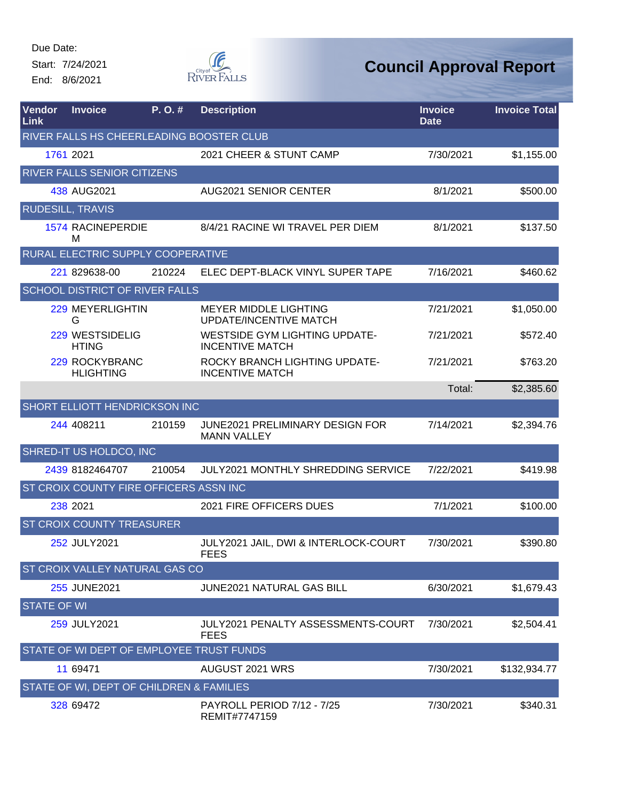Start: 7/24/2021 End: 8/6/2021



| Vendor<br><b>Link</b>   | <b>Invoice</b>                           | P.O.#  | <b>Description</b>                                             | <b>Invoice</b><br><b>Date</b> | <b>Invoice Total</b> |
|-------------------------|------------------------------------------|--------|----------------------------------------------------------------|-------------------------------|----------------------|
|                         | RIVER FALLS HS CHEERLEADING BOOSTER CLUB |        |                                                                |                               |                      |
|                         | 1761 2021                                |        | 2021 CHEER & STUNT CAMP                                        | 7/30/2021                     | \$1,155.00           |
|                         | <b>RIVER FALLS SENIOR CITIZENS</b>       |        |                                                                |                               |                      |
|                         | 438 AUG2021                              |        | <b>AUG2021 SENIOR CENTER</b>                                   | 8/1/2021                      | \$500.00             |
| <b>RUDESILL, TRAVIS</b> |                                          |        |                                                                |                               |                      |
|                         | <b>1574 RACINEPERDIE</b><br>м            |        | 8/4/21 RACINE WI TRAVEL PER DIEM                               | 8/1/2021                      | \$137.50             |
|                         | RURAL ELECTRIC SUPPLY COOPERATIVE        |        |                                                                |                               |                      |
|                         | 221 829638-00                            | 210224 | ELEC DEPT-BLACK VINYL SUPER TAPE                               | 7/16/2021                     | \$460.62             |
|                         | <b>SCHOOL DISTRICT OF RIVER FALLS</b>    |        |                                                                |                               |                      |
|                         | 229 MEYERLIGHTIN<br>G                    |        | <b>MEYER MIDDLE LIGHTING</b><br><b>UPDATE/INCENTIVE MATCH</b>  | 7/21/2021                     | \$1,050.00           |
|                         | 229 WESTSIDELIG<br><b>HTING</b>          |        | <b>WESTSIDE GYM LIGHTING UPDATE-</b><br><b>INCENTIVE MATCH</b> | 7/21/2021                     | \$572.40             |
|                         | 229 ROCKYBRANC<br><b>HLIGHTING</b>       |        | ROCKY BRANCH LIGHTING UPDATE-<br><b>INCENTIVE MATCH</b>        | 7/21/2021                     | \$763.20             |
|                         |                                          |        |                                                                | Total:                        | \$2,385.60           |
|                         | <b>SHORT ELLIOTT HENDRICKSON INC</b>     |        |                                                                |                               |                      |
|                         | 244 408211                               | 210159 | <b>JUNE2021 PRELIMINARY DESIGN FOR</b><br><b>MANN VALLEY</b>   | 7/14/2021                     | \$2,394.76           |
|                         | SHRED-IT US HOLDCO, INC                  |        |                                                                |                               |                      |
|                         | 2439 8182464707                          | 210054 | <b>JULY2021 MONTHLY SHREDDING SERVICE</b>                      | 7/22/2021                     | \$419.98             |
|                         | ST CROIX COUNTY FIRE OFFICERS ASSN INC   |        |                                                                |                               |                      |
|                         | 238 2021                                 |        | 2021 FIRE OFFICERS DUES                                        | 7/1/2021                      | \$100.00             |
|                         | <b>ST CROIX COUNTY TREASURER</b>         |        |                                                                |                               |                      |
|                         | 252 JULY2021                             |        | JULY2021 JAIL, DWI & INTERLOCK-COURT<br><b>FEES</b>            | 7/30/2021                     | \$390.80             |
|                         | <b>ST CROIX VALLEY NATURAL GAS CO</b>    |        |                                                                |                               |                      |
|                         | 255 JUNE2021                             |        | <b>JUNE2021 NATURAL GAS BILL</b>                               | 6/30/2021                     | \$1,679.43           |
| <b>STATE OF WI</b>      |                                          |        |                                                                |                               |                      |
|                         | 259 JULY2021                             |        | JULY2021 PENALTY ASSESSMENTS-COURT<br><b>FEES</b>              | 7/30/2021                     | \$2,504.41           |
|                         | STATE OF WI DEPT OF EMPLOYEE TRUST FUNDS |        |                                                                |                               |                      |
|                         | 11 69471                                 |        | AUGUST 2021 WRS                                                | 7/30/2021                     | \$132,934.77         |
|                         | STATE OF WI, DEPT OF CHILDREN & FAMILIES |        |                                                                |                               |                      |
|                         | 328 69472                                |        | <b>PAYROLL PERIOD 7/12 - 7/25</b><br>REMIT#7747159             | 7/30/2021                     | \$340.31             |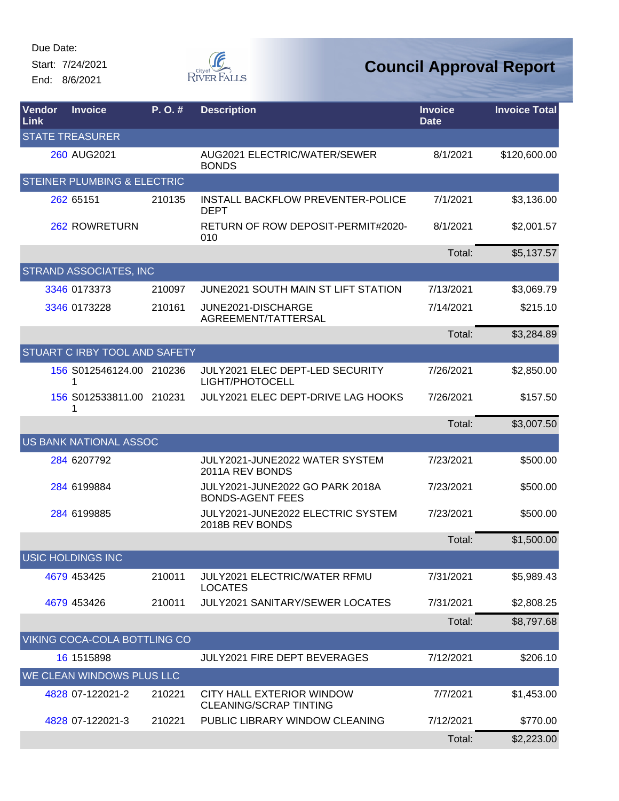Start: 7/24/2021 End: 8/6/2021



| <b>Vendor</b><br>Link | <b>Invoice</b>                         | P.O.#  | <b>Description</b>                                         | <b>Invoice</b><br><b>Date</b> | <b>Invoice Total</b> |
|-----------------------|----------------------------------------|--------|------------------------------------------------------------|-------------------------------|----------------------|
|                       | <b>STATE TREASURER</b>                 |        |                                                            |                               |                      |
|                       | 260 AUG2021                            |        | AUG2021 ELECTRIC/WATER/SEWER<br><b>BONDS</b>               | 8/1/2021                      | \$120,600.00         |
|                       | <b>STEINER PLUMBING &amp; ELECTRIC</b> |        |                                                            |                               |                      |
|                       | 262 65151                              | 210135 | <b>INSTALL BACKFLOW PREVENTER-POLICE</b><br><b>DEPT</b>    | 7/1/2021                      | \$3,136.00           |
|                       | 262 ROWRETURN                          |        | RETURN OF ROW DEPOSIT-PERMIT#2020-<br>010                  | 8/1/2021                      | \$2,001.57           |
|                       |                                        |        |                                                            | Total:                        | \$5,137.57           |
|                       | <b>STRAND ASSOCIATES, INC</b>          |        |                                                            |                               |                      |
|                       | 3346 0173373                           | 210097 | JUNE2021 SOUTH MAIN ST LIFT STATION                        | 7/13/2021                     | \$3,069.79           |
|                       | 3346 0173228                           | 210161 | JUNE2021-DISCHARGE<br>AGREEMENT/TATTERSAL                  | 7/14/2021                     | \$215.10             |
|                       |                                        |        |                                                            | Total:                        | \$3,284.89           |
|                       | <b>STUART C IRBY TOOL AND SAFETY</b>   |        |                                                            |                               |                      |
|                       | 156 S012546124.00 210236<br>1          |        | JULY2021 ELEC DEPT-LED SECURITY<br>LIGHT/PHOTOCELL         | 7/26/2021                     | \$2,850.00           |
|                       | 156 S012533811.00 210231<br>1          |        | JULY2021 ELEC DEPT-DRIVE LAG HOOKS                         | 7/26/2021                     | \$157.50             |
|                       |                                        |        |                                                            | Total:                        | \$3,007.50           |
|                       | <b>US BANK NATIONAL ASSOC</b>          |        |                                                            |                               |                      |
|                       | 284 6207792                            |        | JULY2021-JUNE2022 WATER SYSTEM<br>2011A REV BONDS          | 7/23/2021                     | \$500.00             |
|                       | 284 6199884                            |        | JULY2021-JUNE2022 GO PARK 2018A<br><b>BONDS-AGENT FEES</b> | 7/23/2021                     | \$500.00             |
|                       | 284 6199885                            |        | JULY2021-JUNE2022 ELECTRIC SYSTEM<br>2018B REV BONDS       | 7/23/2021                     | \$500.00             |
|                       |                                        |        |                                                            | Total:                        | \$1,500.00           |
|                       | <b>USIC HOLDINGS INC</b>               |        |                                                            |                               |                      |
|                       | 4679 453425                            | 210011 | <b>JULY2021 ELECTRIC/WATER RFMU</b><br><b>LOCATES</b>      | 7/31/2021                     | \$5,989.43           |
|                       | 4679 453426                            | 210011 | <b>JULY2021 SANITARY/SEWER LOCATES</b>                     | 7/31/2021                     | \$2,808.25           |
|                       |                                        |        |                                                            | Total:                        | \$8,797.68           |
|                       | VIKING COCA-COLA BOTTLING CO           |        |                                                            |                               |                      |
|                       | 16 1515898                             |        | JULY2021 FIRE DEPT BEVERAGES                               | 7/12/2021                     | \$206.10             |
|                       | WE CLEAN WINDOWS PLUS LLC              |        |                                                            |                               |                      |
|                       | 4828 07-122021-2                       | 210221 | CITY HALL EXTERIOR WINDOW<br><b>CLEANING/SCRAP TINTING</b> | 7/7/2021                      | \$1,453.00           |
|                       | 4828 07-122021-3                       | 210221 | PUBLIC LIBRARY WINDOW CLEANING                             | 7/12/2021                     | \$770.00             |
|                       |                                        |        |                                                            | Total:                        | \$2,223.00           |